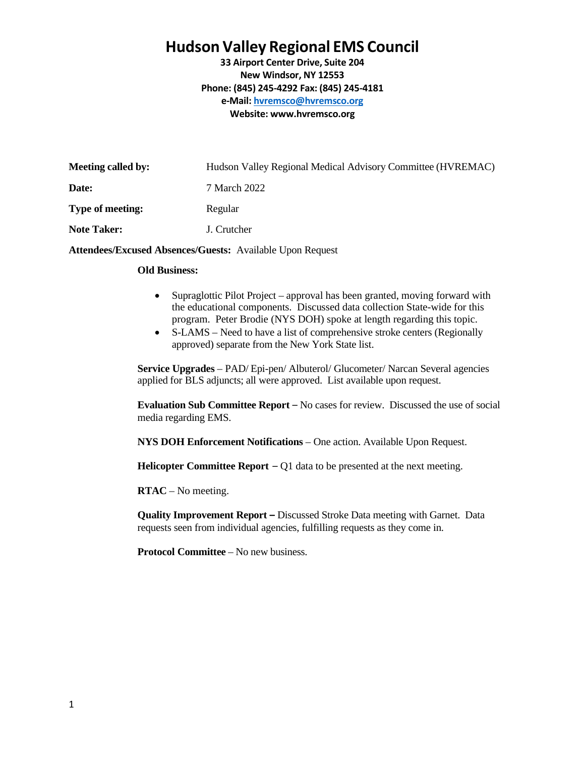## **Hudson Valley Regional EMS Council**

**33 Airport Center Drive, Suite 204 New Windsor, NY 12553 Phone: (845) 245-4292 Fax: (845) 245-4181 e-Mail: [hvremsco@hvremsco.org](mailto:hvremsco@hvremsco.org) Website: [www.hvremsco.org](http://www.hvremsco.org/)**

| Meeting called by: | Hudson Valley Regional Medical Advisory Committee (HVREMAC) |
|--------------------|-------------------------------------------------------------|
| Date:              | 7 March 2022                                                |
| Type of meeting:   | Regular                                                     |
| <b>Note Taker:</b> | J. Crutcher                                                 |
|                    |                                                             |

**Attendees/Excused Absences/Guests:** Available Upon Request

## **Old Business:**

- Supraglottic Pilot Project approval has been granted, moving forward with the educational components. Discussed data collection State-wide for this program. Peter Brodie (NYS DOH) spoke at length regarding this topic.
- S-LAMS Need to have a list of comprehensive stroke centers (Regionally approved) separate from the New York State list.

**Service Upgrades** – PAD/ Epi-pen/ Albuterol/ Glucometer/ Narcan Several agencies applied for BLS adjuncts; all were approved. List available upon request.

**Evaluation Sub Committee Report** – No cases for review. Discussed the use of social media regarding EMS.

**NYS DOH Enforcement Notifications** – One action. Available Upon Request.

**Helicopter Committee Report** – Q1 data to be presented at the next meeting.

**RTAC** – No meeting.

**Quality Improvement Report –** Discussed Stroke Data meeting with Garnet. Data requests seen from individual agencies, fulfilling requests as they come in.

**Protocol Committee** – No new business.